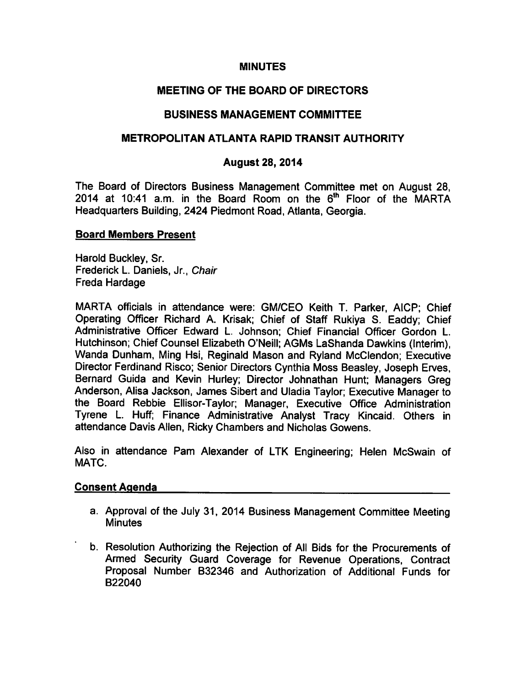# MINUTES

# MEETING OF THE BOARD OF DIRECTORS

# BUSINESS MANAGEMENT COMMITTEE

## METROPOLITAN ATLANTA RAPID TRANSIT AUTHORITY

## August 28, 2014

The Board of Directors Business Management Committee met on August 28, 2014 at 10:41 a.m. in the Board Room on the  $6<sup>th</sup>$  Floor of the MARTA Headquarters Building, 2424 Piedmont Road, Atlanta, Georgia.

### Board Members Present

Harold Buckley, Sr. Frederick L. Daniels, Jr., Chair Freda Hardage

MARTA officials in attendance were: GM/CEO Keith T. Parker, AICP; Chief Operating Officer Richard A. Krisak; Chief of Staff Rukiya S. Eaddy; Chief Administrative Officer Edward L. Johnson; Chief Financial Officer Gordon L. Hutchinson; Chief Counsel Elizabeth O'Neill; AGMs LaShanda Dawkins (Interim), Wanda Dunham, Ming Hsi, Reginald Mason and Ryland McClendon; Executive Director Ferdinand Risco; Senior Directors Cynthia Moss Beasley, Joseph Erves, Bernard Guida and Kevin Hurley; Director Johnathan Hunt; Managers Greg Anderson, Alisa Jackson, James Sibert and Uladia Taylor; Executive Manager to the Board Rebbie Ellisor-Taylor; Manager, Executive Office Administration Tyrene L. Huff; Finance Administrative Analyst Tracy Kincaid. Others in attendance Davis Allen, Ricky Chambers and Nicholas Gowens.

Also in attendance Pam Alexander of LTK Engineering; Helen McSwain of MATC.

### Consent Agenda

- a. Approval of the July 31, 2014 Business Management Committee Meeting Minutes
- b. Resolution Authorizing the Rejection of All Bids for the Procurements of Armed Security Guard Coverage for Revenue Operations, Contract Proposal Number B32346 and Authorization of Additional Funds for B22040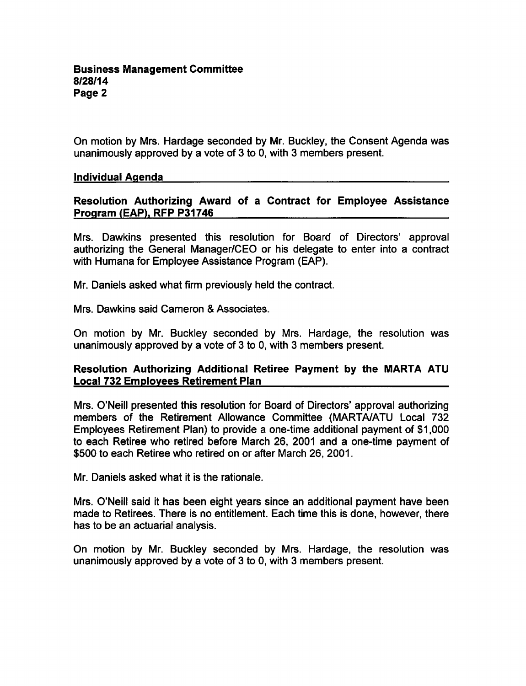On motion by Mrs. Hardage seconded by Mr. Buckley, the Consent Agenda was unanimously approved by a vote of  $3$  to 0, with  $3$  members present.

### Individual Agenda

# Resolution Authorizing Award of a Contract for Employee Assistance Program (EAP). RFP P31746

Mrs. Dawkins presented this resolution for Board of Directors' approval authorizing the General Manager/CEO or his delegate to enter into a contract with Humana for Employee Assistance Program (EAP).

Mr. Daniels asked what firm previously held the contract.

Mrs. Dawkins said Cameron & Associates.

On motion by Mr. Buckley seconded by Mrs. Hardage, the resolution was unanimously approved by a vote of 3 to 0, with 3 members present.

### Resolution Authorizing Additional Retiree Payment by the MARTA ATU Local 732 Employees Retirement Plan

Mrs. O'Neill presented this resolution for Board of Directors' approval authorizing members of the Retirement Allowance Committee (MARTA/ATU Local 732 Employees Retirement Plan) to provide a one-time additional payment of \$1,000 to each Retiree who retired before March 26, 2001 and a one-time payment of \$500 to each Retiree who retired on or after March 26, 2001.

Mr. Daniels asked what it is the rationale.

Mrs. O'Neill said it has been eight years since an additional payment have been made to Retirees. There is no entitlement. Each time this is done, however, there has to be an actuarial analysis.

On motion by Mr. Buckley seconded by Mrs. Hardage, the resolution was unanimously approved by a vote of 3 to 0, with 3 members present.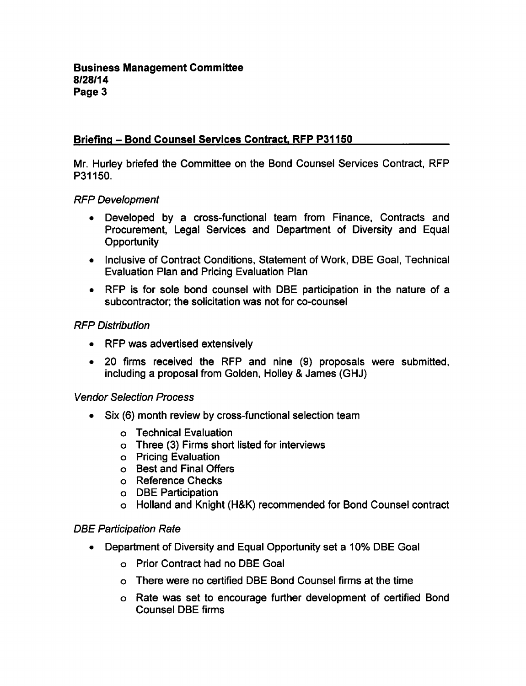# Briefing - Bond Counsel Services Contract. RFP P31150

Mr. Hurley briefed the Committee on the Bond Counsel Services Contract, RFP P31150.

### RFP Development

- Developed by a cross-functional team from Finance, Contracts and Procurement, Legal Services and Department of Diversity and Equal **Opportunity**
- Inclusive of Contract Conditions, Statement of Work, DBE Goal, Technical Evaluation Plan and Pricing Evaluation Plan
- RFP is for sole bond counsel with DBE participation in the nature of a subcontractor; the solicitation was not for co-counsel

# RFP Distribution

- RFP was advertised extensively
- 20 firms received the RFP and nine (9) proposals were submitted, including a proposal from Golden, Holley & James (GHJ)

# Vendor Selection Process

- Six (6) month review by cross-functional selection team
	- Technical Evaluation
	- Three (3) Firms short listed for interviews
	- Pricing Evaluation
	- Best and Final Offers
	- Reference Checks
	- DBE Participation
	- Holland and Knight (H&K) recommended for Bond Counsel contract

# DBE Participation Rate

- Department of Diversity and Equal Opportunity set a 10% DBE Goal
	- Prior Contract had no DBE Goal
	- There were no certified DBE Bond Counsel firms at the time
	- Rate was set to encourage further development of certified Bond Counsel DBE firms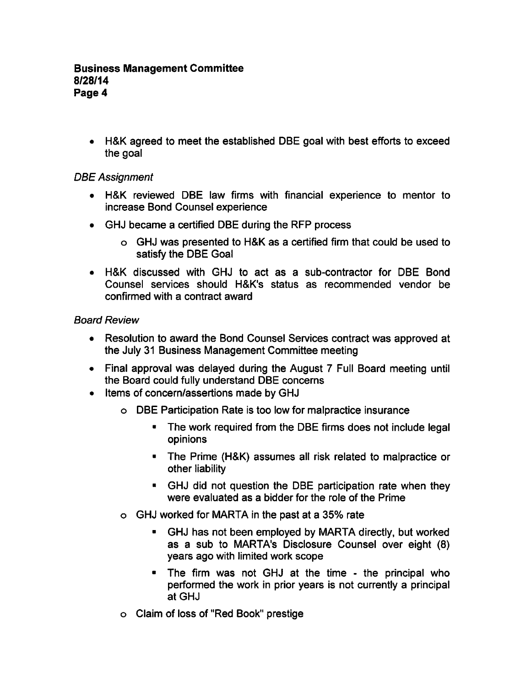H&K agreed to meet the established DBE goal with best efforts to exceed the goal

# DBE Assignment

- H&K reviewed DBE law firms with financial experience to mentor to increase Bond Counsel experience
- GHJ became a certified DBE during the RFP process
	- GHJ was presented to H&K as certified firm that could be used to satisfy the DBE Goal
- H&K discussed with GHJ to act as sub-contractor for DBE Bond Counsel services should H&K's status as recommended vendor be confirmed with a contract award

# Board Review

- Resolution to award the Bond Counsel Services contract was approved at the July 31 Business Management Committee meeting
- Final approval was delayed during the August 7 Full Board meeting until the Board could fully understand DBE concerns
- Items of concern/assertions made by GHJ
	- DBE Participation Rate is too low for malpractice insurance
		- $\blacksquare$ The work required from the DBE firms does not include legal opinions
		- The Prime (H&K) assumes all risk related to malpractice or other liability
		- GHJ did not question the DBE participation rate when they were evaluated as a bidder for the role of the Prime
	- GHJ worked for MARTA in the past at 35% rate
		- $\blacksquare$ GHJ has not been employed by MARTA directly, but worked as a sub to MARTA's Disclosure Counsel over eight (8) years ago with limited work scope
		- $\blacksquare$  The firm was not GHJ at the time the principal who performed the work in prior years is not currently a principal at GHJ
	- Claim of loss of "Red Book" prestige